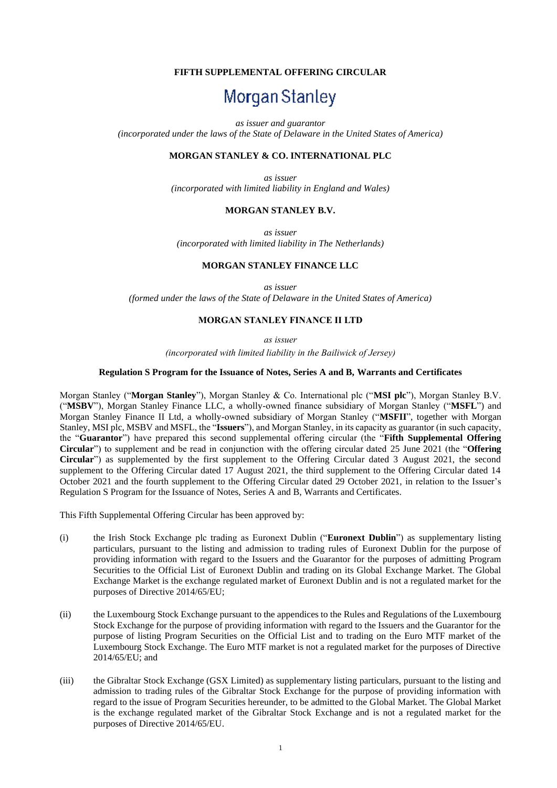## **FIFTH SUPPLEMENTAL OFFERING CIRCULAR**

# Morgan Stanley

*as issuer and guarantor*

*(incorporated under the laws of the State of Delaware in the United States of America)*

## **MORGAN STANLEY & CO. INTERNATIONAL PLC**

*as issuer (incorporated with limited liability in England and Wales)*

#### **MORGAN STANLEY B.V.**

*as issuer (incorporated with limited liability in The Netherlands)*

## **MORGAN STANLEY FINANCE LLC**

*as issuer (formed under the laws of the State of Delaware in the United States of America)*

## **MORGAN STANLEY FINANCE II LTD**

*as issuer* 

*(incorporated with limited liability in the Bailiwick of Jersey)*

#### **Regulation S Program for the Issuance of Notes, Series A and B, Warrants and Certificates**

Morgan Stanley ("**Morgan Stanley**"), Morgan Stanley & Co. International plc ("**MSI plc**"), Morgan Stanley B.V. ("**MSBV**"), Morgan Stanley Finance LLC, a wholly-owned finance subsidiary of Morgan Stanley ("**MSFL**") and Morgan Stanley Finance II Ltd, a wholly-owned subsidiary of Morgan Stanley ("**MSFII**", together with Morgan Stanley, MSI plc, MSBV and MSFL, the "**Issuers**"), and Morgan Stanley, in its capacity as guarantor (in such capacity, the "**Guarantor**") have prepared this second supplemental offering circular (the "**Fifth Supplemental Offering Circular**") to supplement and be read in conjunction with the offering circular dated 25 June 2021 (the "**Offering Circular**") as supplemented by the first supplement to the Offering Circular dated 3 August 2021, the second supplement to the Offering Circular dated 17 August 2021, the third supplement to the Offering Circular dated 14 October 2021 and the fourth supplement to the Offering Circular dated 29 October 2021, in relation to the Issuer's Regulation S Program for the Issuance of Notes, Series A and B, Warrants and Certificates.

This Fifth Supplemental Offering Circular has been approved by:

- (i) the Irish Stock Exchange plc trading as Euronext Dublin ("**Euronext Dublin**") as supplementary listing particulars, pursuant to the listing and admission to trading rules of Euronext Dublin for the purpose of providing information with regard to the Issuers and the Guarantor for the purposes of admitting Program Securities to the Official List of Euronext Dublin and trading on its Global Exchange Market. The Global Exchange Market is the exchange regulated market of Euronext Dublin and is not a regulated market for the purposes of Directive 2014/65/EU;
- (ii) the Luxembourg Stock Exchange pursuant to the appendices to the Rules and Regulations of the Luxembourg Stock Exchange for the purpose of providing information with regard to the Issuers and the Guarantor for the purpose of listing Program Securities on the Official List and to trading on the Euro MTF market of the Luxembourg Stock Exchange. The Euro MTF market is not a regulated market for the purposes of Directive 2014/65/EU; and
- (iii) the Gibraltar Stock Exchange (GSX Limited) as supplementary listing particulars, pursuant to the listing and admission to trading rules of the Gibraltar Stock Exchange for the purpose of providing information with regard to the issue of Program Securities hereunder, to be admitted to the Global Market. The Global Market is the exchange regulated market of the Gibraltar Stock Exchange and is not a regulated market for the purposes of Directive 2014/65/EU.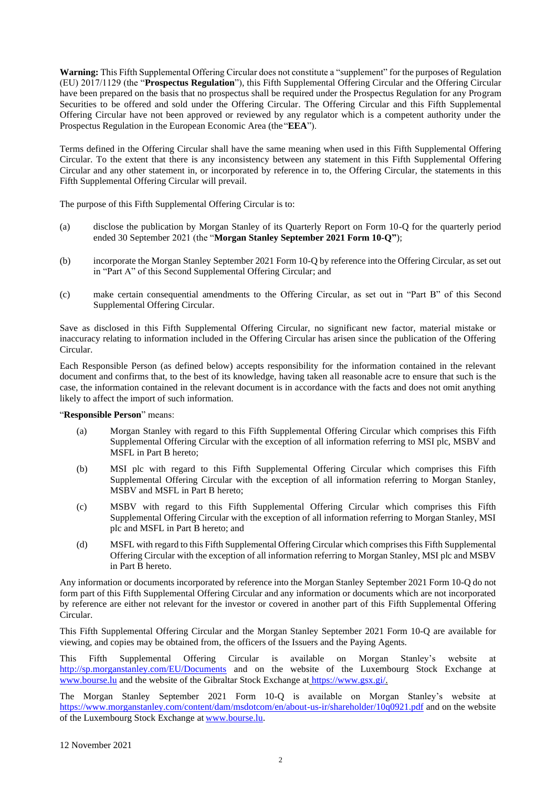**Warning:** This Fifth Supplemental Offering Circular does not constitute a "supplement" for the purposes of Regulation (EU) 2017/1129 (the "**Prospectus Regulation**"), this Fifth Supplemental Offering Circular and the Offering Circular have been prepared on the basis that no prospectus shall be required under the Prospectus Regulation for any Program Securities to be offered and sold under the Offering Circular. The Offering Circular and this Fifth Supplemental Offering Circular have not been approved or reviewed by any regulator which is a competent authority under the Prospectus Regulation in the European Economic Area (the "**EEA**").

Terms defined in the Offering Circular shall have the same meaning when used in this Fifth Supplemental Offering Circular. To the extent that there is any inconsistency between any statement in this Fifth Supplemental Offering Circular and any other statement in, or incorporated by reference in to, the Offering Circular, the statements in this Fifth Supplemental Offering Circular will prevail.

The purpose of this Fifth Supplemental Offering Circular is to:

- (a) disclose the publication by Morgan Stanley of its Quarterly Report on Form 10-Q for the quarterly period ended 30 September 2021 (the "**Morgan Stanley September 2021 Form 10-Q"**);
- (b) incorporate the Morgan Stanley September 2021 Form 10-Q by reference into the Offering Circular, as set out in "Part A" of this Second Supplemental Offering Circular; and
- (c) make certain consequential amendments to the Offering Circular, as set out in "Part B" of this Second Supplemental Offering Circular.

Save as disclosed in this Fifth Supplemental Offering Circular, no significant new factor, material mistake or inaccuracy relating to information included in the Offering Circular has arisen since the publication of the Offering Circular.

Each Responsible Person (as defined below) accepts responsibility for the information contained in the relevant document and confirms that, to the best of its knowledge, having taken all reasonable acre to ensure that such is the case, the information contained in the relevant document is in accordance with the facts and does not omit anything likely to affect the import of such information.

## "**Responsible Person**" means:

- (a) Morgan Stanley with regard to this Fifth Supplemental Offering Circular which comprises this Fifth Supplemental Offering Circular with the exception of all information referring to MSI plc, MSBV and MSFL in Part B hereto;
- (b) MSI plc with regard to this Fifth Supplemental Offering Circular which comprises this Fifth Supplemental Offering Circular with the exception of all information referring to Morgan Stanley, MSBV and MSFL in Part B hereto;
- (c) MSBV with regard to this Fifth Supplemental Offering Circular which comprises this Fifth Supplemental Offering Circular with the exception of all information referring to Morgan Stanley, MSI plc and MSFL in Part B hereto; and
- (d) MSFL with regard to this Fifth Supplemental Offering Circular which comprises this Fifth Supplemental Offering Circular with the exception of all information referring to Morgan Stanley, MSI plc and MSBV in Part B hereto.

Any information or documents incorporated by reference into the Morgan Stanley September 2021 Form 10-Q do not form part of this Fifth Supplemental Offering Circular and any information or documents which are not incorporated by reference are either not relevant for the investor or covered in another part of this Fifth Supplemental Offering Circular.

This Fifth Supplemental Offering Circular and the Morgan Stanley September 2021 Form 10-Q are available for viewing, and copies may be obtained from, the officers of the Issuers and the Paying Agents.

This Fifth Supplemental Offering Circular is available on Morgan Stanley's website at <http://sp.morganstanley.com/EU/Documents> and on the website of the Luxembourg Stock Exchange at [www.bourse.lu](http://www.bourse.lu/) and the website of the Gibraltar Stock Exchange at [https://www.gsx.gi/.](https://eur02.safelinks.protection.outlook.com/?url=https%3A%2F%2Fwww.gsx.gi%2F&data=02%7C01%7Cparadis.mccall%40cms-cmno.com%7Cc21489f773244ca202a908d79dba87f8%7C8ddab29711af4f76b704c18a1d2b702f%7C0%7C1%7C637151296781897219&sdata=V4kd5biJuaBtiLnVvjEqX23C5rQqZlPHLPgpfE4wOYI%3D&reserved=0)

The Morgan Stanley September 2021 Form 10-Q is available on Morgan Stanley's website at <https://www.morganstanley.com/content/dam/msdotcom/en/about-us-ir/shareholder/10q0921.pdf> and on the website of the Luxembourg Stock Exchange at [www.bourse.lu.](http://www.bourse.lu/)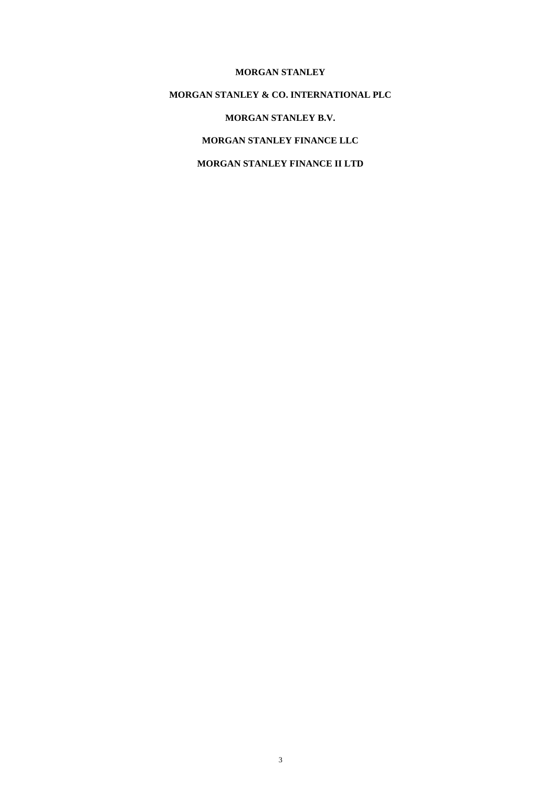## **MORGAN STANLEY**

## **MORGAN STANLEY & CO. INTERNATIONAL PLC**

# **MORGAN STANLEY B.V.**

## **MORGAN STANLEY FINANCE LLC**

# **MORGAN STANLEY FINANCE II LTD**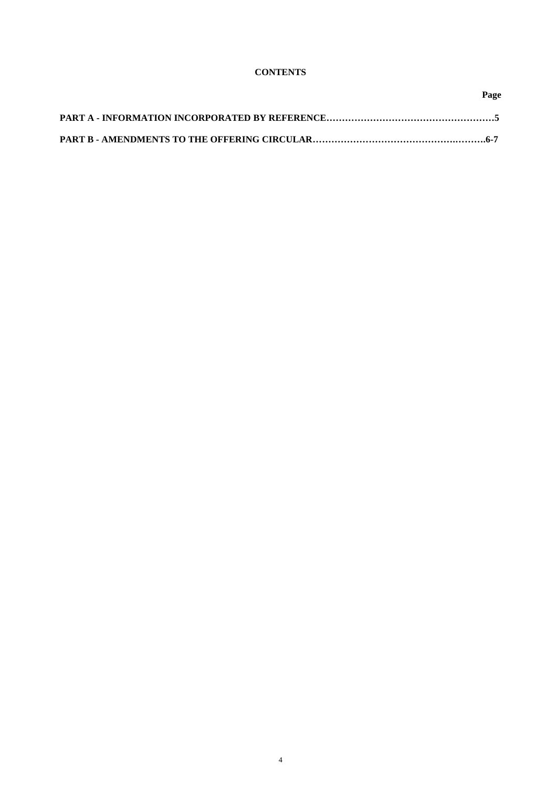## **CONTENTS**

**Page**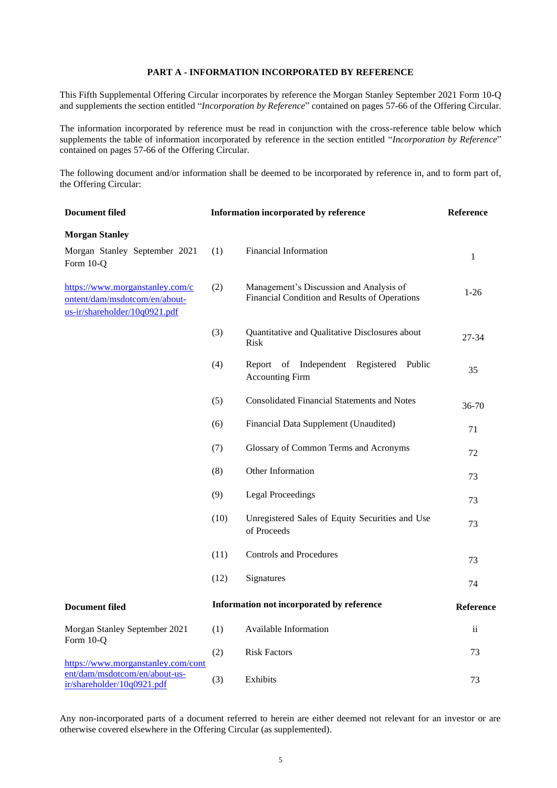## **PART A - INFORMATION INCORPORATED BY REFERENCE**

This Fifth Supplemental Offering Circular incorporates by reference the Morgan Stanley September 2021 Form 10-Q and supplements the section entitled "*Incorporation by Reference*" contained on pages 57-66 of the Offering Circular.

The information incorporated by reference must be read in conjunction with the cross-reference table below which supplements the table of information incorporated by reference in the section entitled "*Incorporation by Reference*" contained on pages 57-66 of the Offering Circular.

The following document and/or information shall be deemed to be incorporated by reference in, and to form part of, the Offering Circular:

| <b>Document filed</b><br>Information incorporated by reference                                    |      |                                                                                          | Reference     |  |
|---------------------------------------------------------------------------------------------------|------|------------------------------------------------------------------------------------------|---------------|--|
| <b>Morgan Stanley</b>                                                                             |      |                                                                                          |               |  |
| Morgan Stanley September 2021<br>Form 10-Q                                                        | (1)  | <b>Financial Information</b>                                                             | $\mathbf{1}$  |  |
| https://www.morganstanley.com/c<br>ontent/dam/msdotcom/en/about-<br>us-ir/shareholder/10q0921.pdf | (2)  | Management's Discussion and Analysis of<br>Financial Condition and Results of Operations | $1-26$        |  |
|                                                                                                   | (3)  | Quantitative and Qualitative Disclosures about<br>Risk                                   | 27-34         |  |
|                                                                                                   | (4)  | Independent<br>Registered<br>Public<br>Report<br>of<br><b>Accounting Firm</b>            | 35            |  |
|                                                                                                   | (5)  | <b>Consolidated Financial Statements and Notes</b>                                       | 36-70         |  |
|                                                                                                   | (6)  | Financial Data Supplement (Unaudited)                                                    | 71            |  |
|                                                                                                   | (7)  | Glossary of Common Terms and Acronyms                                                    | 72            |  |
|                                                                                                   | (8)  | Other Information                                                                        | 73            |  |
|                                                                                                   | (9)  | <b>Legal Proceedings</b>                                                                 | 73            |  |
|                                                                                                   | (10) | Unregistered Sales of Equity Securities and Use<br>of Proceeds                           | 73            |  |
|                                                                                                   | (11) | <b>Controls and Procedures</b>                                                           | 73            |  |
|                                                                                                   | (12) | Signatures                                                                               | 74            |  |
| <b>Document filed</b>                                                                             |      | Information not incorporated by reference                                                | Reference     |  |
| Morgan Stanley September 2021<br>Form 10-Q                                                        | (1)  | Available Information                                                                    | $\mathbf{ii}$ |  |
| https://www.morganstanley.com/cont                                                                | (2)  | <b>Risk Factors</b>                                                                      | 73            |  |
| ent/dam/msdotcom/en/about-us-<br>ir/shareholder/10q0921.pdf                                       | (3)  | Exhibits                                                                                 | 73            |  |

Any non-incorporated parts of a document referred to herein are either deemed not relevant for an investor or are otherwise covered elsewhere in the Offering Circular (as supplemented).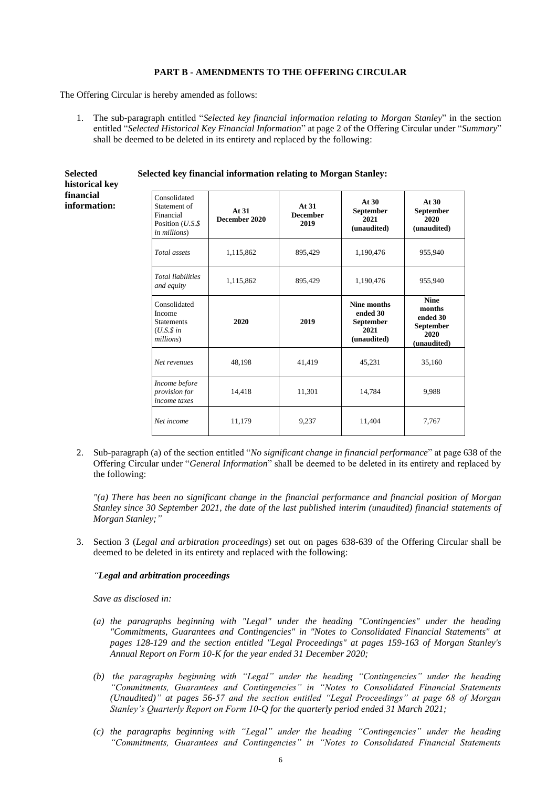## **PART B - AMENDMENTS TO THE OFFERING CIRCULAR**

The Offering Circular is hereby amended as follows:

**Selected historical key financial information:**

1. The sub-paragraph entitled "*Selected key financial information relating to Morgan Stanley*" in the section entitled "*Selected Historical Key Financial Information*" at page 2 of the Offering Circular under "*Summary*" shall be deemed to be deleted in its entirety and replaced by the following:

| Consolidated<br>Statement of<br>Financial<br>Position $(U.S.\$ \$<br><i>in millions</i> ) | At $31$<br>December 2020 | At $31$<br><b>December</b><br>2019 | At $30$<br><b>September</b><br>2021<br>(unaudited)                 | At $30$<br><b>September</b><br>2020<br>(unaudited)                    |
|-------------------------------------------------------------------------------------------|--------------------------|------------------------------------|--------------------------------------------------------------------|-----------------------------------------------------------------------|
| Total assets                                                                              | 1,115,862                | 895,429                            | 1,190,476                                                          | 955,940                                                               |
| <b>Total liabilities</b><br>and equity                                                    | 1,115,862                | 895,429                            | 1,190,476                                                          | 955,940                                                               |
| Consolidated<br>Income<br><b>Statements</b><br>$(U.S.\$ \$ in<br>millions)                | 2020                     | 2019                               | Nine months<br>ended 30<br><b>September</b><br>2021<br>(unaudited) | <b>Nine</b><br>months<br>ended 30<br>September<br>2020<br>(unaudited) |
| Net revenues                                                                              | 48,198                   | 41,419                             | 45,231                                                             | 35,160                                                                |
| Income before<br>provision for<br>income taxes                                            | 14,418                   | 11,301                             | 14,784                                                             | 9.988                                                                 |
| Net income                                                                                | 11,179                   | 9,237                              | 11,404                                                             | 7.767                                                                 |

**Selected key financial information relating to Morgan Stanley:**

2. Sub-paragraph (a) of the section entitled "*No significant change in financial performance*" at page 638 of the Offering Circular under "*General Information*" shall be deemed to be deleted in its entirety and replaced by the following:

*"(a) There has been no significant change in the financial performance and financial position of Morgan Stanley since 30 September 2021, the date of the last published interim (unaudited) financial statements of Morgan Stanley;"*

3. Section 3 (*Legal and arbitration proceedings*) set out on pages 638-639 of the Offering Circular shall be deemed to be deleted in its entirety and replaced with the following:

#### *"Legal and arbitration proceedings*

*Save as disclosed in:*

- *(a) the paragraphs beginning with "Legal" under the heading "Contingencies" under the heading "Commitments, Guarantees and Contingencies" in "Notes to Consolidated Financial Statements" at pages 128-129 and the section entitled "Legal Proceedings" at pages 159-163 of Morgan Stanley's Annual Report on Form 10-K for the year ended 31 December 2020;*
- *(b) the paragraphs beginning with "Legal" under the heading "Contingencies" under the heading "Commitments, Guarantees and Contingencies" in "Notes to Consolidated Financial Statements (Unaudited)" at pages 56-57 and the section entitled "Legal Proceedings" at page 68 of Morgan Stanley's Quarterly Report on Form 10-Q for the quarterly period ended 31 March 2021;*
- *(c) the paragraphs beginning with "Legal" under the heading "Contingencies" under the heading "Commitments, Guarantees and Contingencies" in "Notes to Consolidated Financial Statements*